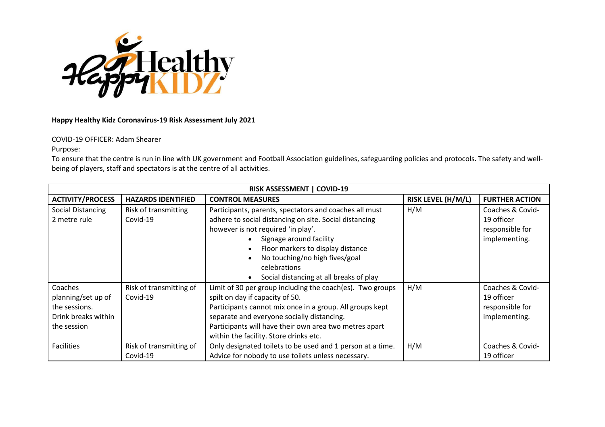

## **Happy Healthy Kidz Coronavirus-19 Risk Assessment July 2021**

## COVID-19 OFFICER: Adam Shearer

Purpose:

To ensure that the centre is run in line with UK government and Football Association guidelines, safeguarding policies and protocols. The safety and wellbeing of players, staff and spectators is at the centre of all activities.

| <b>RISK ASSESSMENT   COVID-19</b>                                                    |                                     |                                                                                                                                                                                                                                                                                                                     |                           |                                                                    |  |
|--------------------------------------------------------------------------------------|-------------------------------------|---------------------------------------------------------------------------------------------------------------------------------------------------------------------------------------------------------------------------------------------------------------------------------------------------------------------|---------------------------|--------------------------------------------------------------------|--|
| <b>ACTIVITY/PROCESS</b>                                                              | <b>HAZARDS IDENTIFIED</b>           | <b>CONTROL MEASURES</b>                                                                                                                                                                                                                                                                                             | <b>RISK LEVEL (H/M/L)</b> | <b>FURTHER ACTION</b>                                              |  |
| Social Distancing<br>2 metre rule                                                    | Risk of transmitting<br>Covid-19    | Participants, parents, spectators and coaches all must<br>adhere to social distancing on site. Social distancing<br>however is not required 'in play'.<br>Signage around facility<br>Floor markers to display distance<br>No touching/no high fives/goal<br>celebrations<br>Social distancing at all breaks of play | H/M                       | Coaches & Covid-<br>19 officer<br>responsible for<br>implementing. |  |
| Coaches<br>planning/set up of<br>the sessions.<br>Drink breaks within<br>the session | Risk of transmitting of<br>Covid-19 | Limit of 30 per group including the coach(es). Two groups<br>spilt on day if capacity of 50.<br>Participants cannot mix once in a group. All groups kept<br>separate and everyone socially distancing.<br>Participants will have their own area two metres apart<br>within the facility. Store drinks etc.          | H/M                       | Coaches & Covid-<br>19 officer<br>responsible for<br>implementing. |  |
| <b>Facilities</b>                                                                    | Risk of transmitting of<br>Covid-19 | Only designated toilets to be used and 1 person at a time.<br>Advice for nobody to use toilets unless necessary.                                                                                                                                                                                                    | H/M                       | Coaches & Covid-<br>19 officer                                     |  |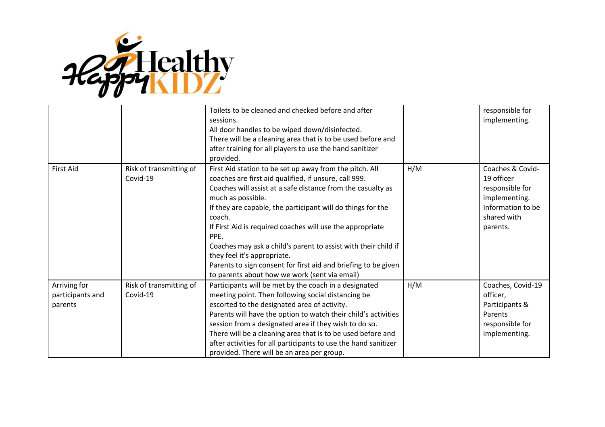

|                                             |                                     | Toilets to be cleaned and checked before and after<br>sessions.<br>All door handles to be wiped down/disinfected.<br>There will be a cleaning area that is to be used before and<br>after training for all players to use the hand sanitizer<br>provided.                                                                                                                                                                                                                                                                                                              |     | responsible for<br>implementing.                                                                                   |
|---------------------------------------------|-------------------------------------|------------------------------------------------------------------------------------------------------------------------------------------------------------------------------------------------------------------------------------------------------------------------------------------------------------------------------------------------------------------------------------------------------------------------------------------------------------------------------------------------------------------------------------------------------------------------|-----|--------------------------------------------------------------------------------------------------------------------|
| <b>First Aid</b>                            | Risk of transmitting of<br>Covid-19 | First Aid station to be set up away from the pitch. All<br>coaches are first aid qualified, if unsure, call 999.<br>Coaches will assist at a safe distance from the casualty as<br>much as possible.<br>If they are capable, the participant will do things for the<br>coach.<br>If First Aid is required coaches will use the appropriate<br>PPE.<br>Coaches may ask a child's parent to assist with their child if<br>they feel it's appropriate.<br>Parents to sign consent for first aid and briefing to be given<br>to parents about how we work (sent via email) | H/M | Coaches & Covid-<br>19 officer<br>responsible for<br>implementing.<br>Information to be<br>shared with<br>parents. |
| Arriving for<br>participants and<br>parents | Risk of transmitting of<br>Covid-19 | Participants will be met by the coach in a designated<br>meeting point. Then following social distancing be<br>escorted to the designated area of activity.<br>Parents will have the option to watch their child's activities<br>session from a designated area if they wish to do so.<br>There will be a cleaning area that is to be used before and<br>after activities for all participants to use the hand sanitizer<br>provided. There will be an area per group.                                                                                                 | H/M | Coaches, Covid-19<br>officer,<br>Participants &<br>Parents<br>responsible for<br>implementing.                     |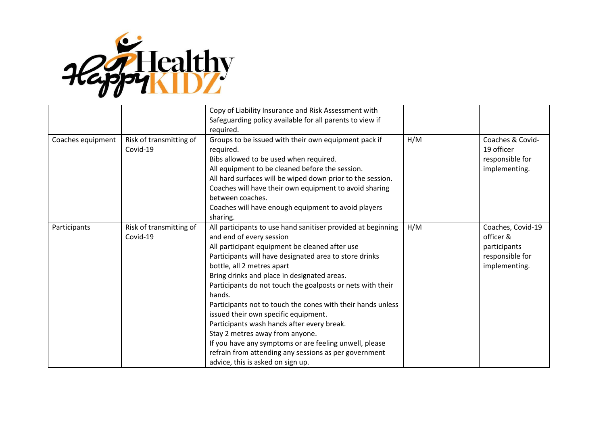

|                   |                                     | Copy of Liability Insurance and Risk Assessment with<br>Safeguarding policy available for all parents to view if<br>required.                                                                                                                                                                                                                                                                                                                                                                                                                                                                                                                                                                             |     |                                                                                    |
|-------------------|-------------------------------------|-----------------------------------------------------------------------------------------------------------------------------------------------------------------------------------------------------------------------------------------------------------------------------------------------------------------------------------------------------------------------------------------------------------------------------------------------------------------------------------------------------------------------------------------------------------------------------------------------------------------------------------------------------------------------------------------------------------|-----|------------------------------------------------------------------------------------|
| Coaches equipment | Risk of transmitting of<br>Covid-19 | Groups to be issued with their own equipment pack if<br>required.<br>Bibs allowed to be used when required.<br>All equipment to be cleaned before the session.<br>All hard surfaces will be wiped down prior to the session.<br>Coaches will have their own equipment to avoid sharing<br>between coaches.<br>Coaches will have enough equipment to avoid players<br>sharing.                                                                                                                                                                                                                                                                                                                             | H/M | Coaches & Covid-<br>19 officer<br>responsible for<br>implementing.                 |
| Participants      | Risk of transmitting of<br>Covid-19 | All participants to use hand sanitiser provided at beginning<br>and end of every session<br>All participant equipment be cleaned after use<br>Participants will have designated area to store drinks<br>bottle, all 2 metres apart<br>Bring drinks and place in designated areas.<br>Participants do not touch the goalposts or nets with their<br>hands.<br>Participants not to touch the cones with their hands unless<br>issued their own specific equipment.<br>Participants wash hands after every break.<br>Stay 2 metres away from anyone.<br>If you have any symptoms or are feeling unwell, please<br>refrain from attending any sessions as per government<br>advice, this is asked on sign up. | H/M | Coaches, Covid-19<br>officer &<br>participants<br>responsible for<br>implementing. |